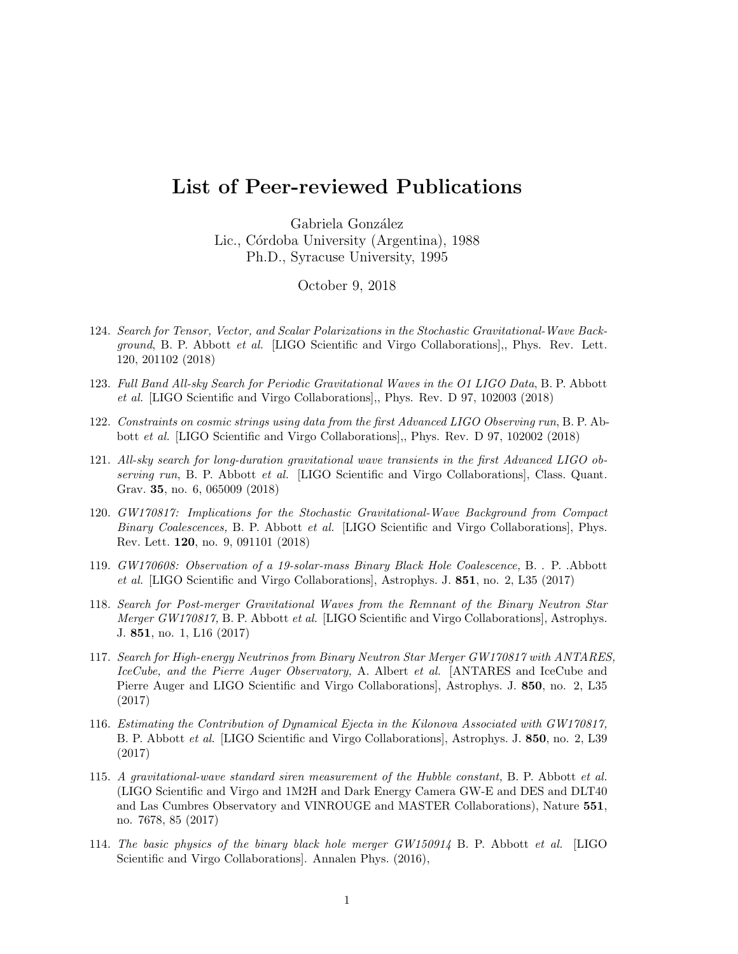## List of Peer-reviewed Publications

Gabriela González Lic., Córdoba University (Argentina), 1988 Ph.D., Syracuse University, 1995

October 9, 2018

- 124. Search for Tensor, Vector, and Scalar Polarizations in the Stochastic Gravitational-Wave Background, B. P. Abbott et al. [LIGO Scientific and Virgo Collaborations],, Phys. Rev. Lett. 120, 201102 (2018)
- 123. Full Band All-sky Search for Periodic Gravitational Waves in the O1 LIGO Data, B. P. Abbott et al. [LIGO Scientific and Virgo Collaborations],, Phys. Rev. D 97, 102003 (2018)
- 122. Constraints on cosmic strings using data from the first Advanced LIGO Observing run, B. P. Abbott et al. [LIGO Scientific and Virgo Collaborations],, Phys. Rev. D 97, 102002 (2018)
- 121. All-sky search for long-duration gravitational wave transients in the first Advanced LIGO observing run, B. P. Abbott et al. [LIGO Scientific and Virgo Collaborations], Class. Quant. Grav. 35, no. 6, 065009 (2018)
- 120. GW170817: Implications for the Stochastic Gravitational-Wave Background from Compact Binary Coalescences, B. P. Abbott et al. [LIGO Scientific and Virgo Collaborations], Phys. Rev. Lett. 120, no. 9, 091101 (2018)
- 119. GW170608: Observation of a 19-solar-mass Binary Black Hole Coalescence, B. . P. .Abbott et al. [LIGO Scientific and Virgo Collaborations], Astrophys. J. 851, no. 2, L35 (2017)
- 118. Search for Post-merger Gravitational Waves from the Remnant of the Binary Neutron Star Merger GW170817, B. P. Abbott et al. [LIGO Scientific and Virgo Collaborations], Astrophys. J. 851, no. 1, L16 (2017)
- 117. Search for High-energy Neutrinos from Binary Neutron Star Merger GW170817 with ANTARES, IceCube, and the Pierre Auger Observatory, A. Albert et al. [ANTARES and IceCube and Pierre Auger and LIGO Scientific and Virgo Collaborations], Astrophys. J. 850, no. 2, L35 (2017)
- 116. Estimating the Contribution of Dynamical Ejecta in the Kilonova Associated with GW170817, B. P. Abbott et al. [LIGO Scientific and Virgo Collaborations], Astrophys. J. 850, no. 2, L39 (2017)
- 115. A gravitational-wave standard siren measurement of the Hubble constant, B. P. Abbott et al. (LIGO Scientific and Virgo and 1M2H and Dark Energy Camera GW-E and DES and DLT40 and Las Cumbres Observatory and VINROUGE and MASTER Collaborations), Nature 551, no. 7678, 85 (2017)
- 114. The basic physics of the binary black hole merger GW150914 B. P. Abbott et al. [LIGO Scientific and Virgo Collaborations]. Annalen Phys. (2016),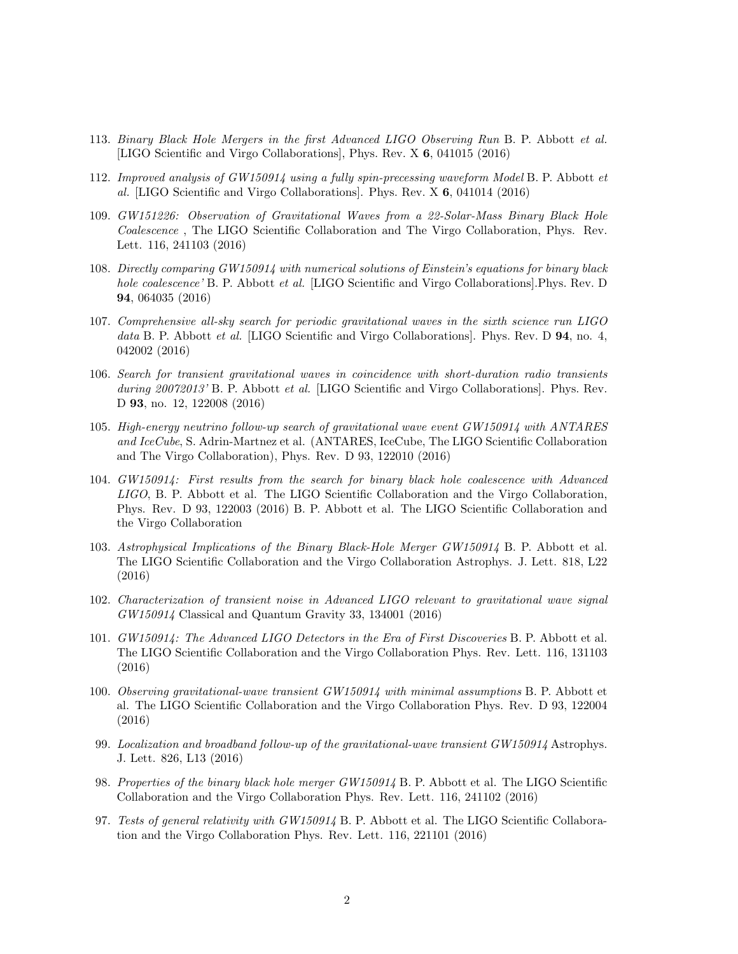- 113. Binary Black Hole Mergers in the first Advanced LIGO Observing Run B. P. Abbott et al. [LIGO Scientific and Virgo Collaborations], Phys. Rev. X 6, 041015 (2016)
- 112. Improved analysis of GW150914 using a fully spin-precessing waveform Model B. P. Abbott et al. [LIGO Scientific and Virgo Collaborations]. Phys. Rev. X 6, 041014 (2016)
- 109. GW151226: Observation of Gravitational Waves from a 22-Solar-Mass Binary Black Hole Coalescence , The LIGO Scientific Collaboration and The Virgo Collaboration, Phys. Rev. Lett. 116, 241103 (2016)
- 108. Directly comparing GW150914 with numerical solutions of Einstein's equations for binary black hole coalescence' B. P. Abbott et al. [LIGO Scientific and Virgo Collaborations]. Phys. Rev. D 94, 064035 (2016)
- 107. Comprehensive all-sky search for periodic gravitational waves in the sixth science run LIGO data B. P. Abbott et al. [LIGO Scientific and Virgo Collaborations]. Phys. Rev. D 94, no. 4, 042002 (2016)
- 106. Search for transient gravitational waves in coincidence with short-duration radio transients during 20072013' B. P. Abbott et al. [LIGO Scientific and Virgo Collaborations]. Phys. Rev. D 93, no. 12, 122008 (2016)
- 105. High-energy neutrino follow-up search of gravitational wave event GW150914 with ANTARES and IceCube, S. Adrin-Martnez et al. (ANTARES, IceCube, The LIGO Scientific Collaboration and The Virgo Collaboration), Phys. Rev. D 93, 122010 (2016)
- 104. GW150914: First results from the search for binary black hole coalescence with Advanced LIGO, B. P. Abbott et al. The LIGO Scientific Collaboration and the Virgo Collaboration, Phys. Rev. D 93, 122003 (2016) B. P. Abbott et al. The LIGO Scientific Collaboration and the Virgo Collaboration
- 103. Astrophysical Implications of the Binary Black-Hole Merger GW150914 B. P. Abbott et al. The LIGO Scientific Collaboration and the Virgo Collaboration Astrophys. J. Lett. 818, L22 (2016)
- 102. Characterization of transient noise in Advanced LIGO relevant to gravitational wave signal GW150914 Classical and Quantum Gravity 33, 134001 (2016)
- 101. GW150914: The Advanced LIGO Detectors in the Era of First Discoveries B. P. Abbott et al. The LIGO Scientific Collaboration and the Virgo Collaboration Phys. Rev. Lett. 116, 131103 (2016)
- 100. Observing gravitational-wave transient GW150914 with minimal assumptions B. P. Abbott et al. The LIGO Scientific Collaboration and the Virgo Collaboration Phys. Rev. D 93, 122004 (2016)
- 99. Localization and broadband follow-up of the gravitational-wave transient GW150914 Astrophys. J. Lett. 826, L13 (2016)
- 98. Properties of the binary black hole merger GW150914 B. P. Abbott et al. The LIGO Scientific Collaboration and the Virgo Collaboration Phys. Rev. Lett. 116, 241102 (2016)
- 97. Tests of general relativity with GW150914 B. P. Abbott et al. The LIGO Scientific Collaboration and the Virgo Collaboration Phys. Rev. Lett. 116, 221101 (2016)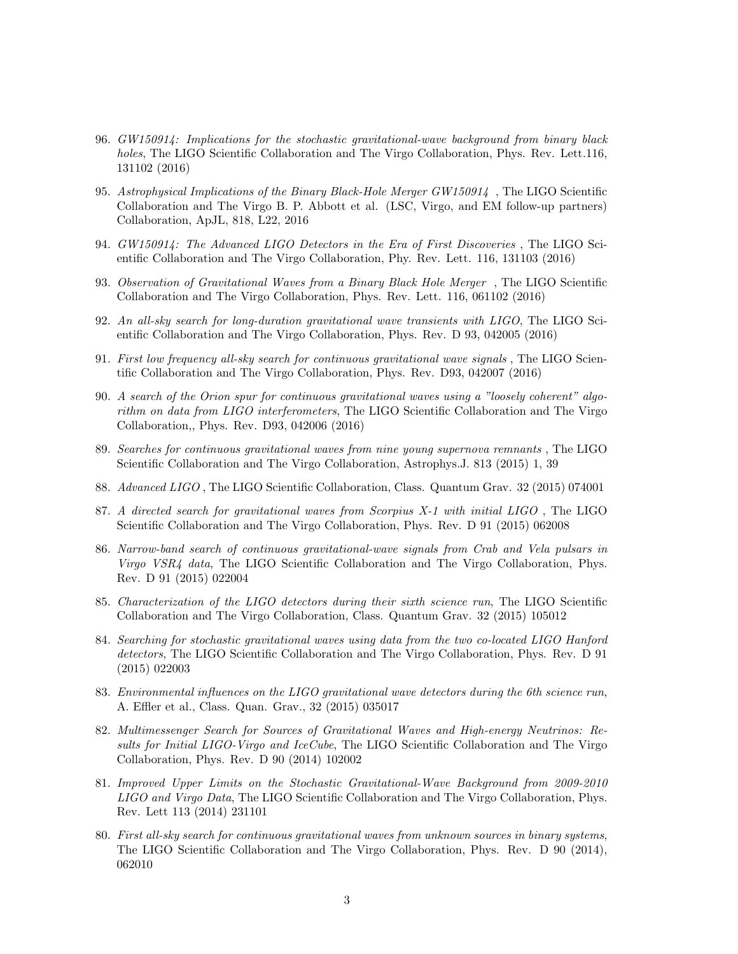- 96. GW150914: Implications for the stochastic gravitational-wave background from binary black holes, The LIGO Scientific Collaboration and The Virgo Collaboration, Phys. Rev. Lett.116, 131102 (2016)
- 95. Astrophysical Implications of the Binary Black-Hole Merger GW150914 , The LIGO Scientific Collaboration and The Virgo B. P. Abbott et al. (LSC, Virgo, and EM follow-up partners) Collaboration, ApJL, 818, L22, 2016
- 94. GW150914: The Advanced LIGO Detectors in the Era of First Discoveries , The LIGO Scientific Collaboration and The Virgo Collaboration, Phy. Rev. Lett. 116, 131103 (2016)
- 93. Observation of Gravitational Waves from a Binary Black Hole Merger , The LIGO Scientific Collaboration and The Virgo Collaboration, Phys. Rev. Lett. 116, 061102 (2016)
- 92. An all-sky search for long-duration gravitational wave transients with LIGO, The LIGO Scientific Collaboration and The Virgo Collaboration, Phys. Rev. D 93, 042005 (2016)
- 91. First low frequency all-sky search for continuous gravitational wave signals , The LIGO Scientific Collaboration and The Virgo Collaboration, Phys. Rev. D93, 042007 (2016)
- 90. A search of the Orion spur for continuous gravitational waves using a "loosely coherent" algorithm on data from LIGO interferometers, The LIGO Scientific Collaboration and The Virgo Collaboration,, Phys. Rev. D93, 042006 (2016)
- 89. Searches for continuous gravitational waves from nine young supernova remnants , The LIGO Scientific Collaboration and The Virgo Collaboration, Astrophys.J. 813 (2015) 1, 39
- 88. Advanced LIGO , The LIGO Scientific Collaboration, Class. Quantum Grav. 32 (2015) 074001
- 87. A directed search for gravitational waves from Scorpius X-1 with initial LIGO , The LIGO Scientific Collaboration and The Virgo Collaboration, Phys. Rev. D 91 (2015) 062008
- 86. Narrow-band search of continuous gravitational-wave signals from Crab and Vela pulsars in Virgo VSR4 data, The LIGO Scientific Collaboration and The Virgo Collaboration, Phys. Rev. D 91 (2015) 022004
- 85. Characterization of the LIGO detectors during their sixth science run, The LIGO Scientific Collaboration and The Virgo Collaboration, Class. Quantum Grav. 32 (2015) 105012
- 84. Searching for stochastic gravitational waves using data from the two co-located LIGO Hanford detectors, The LIGO Scientific Collaboration and The Virgo Collaboration, Phys. Rev. D 91 (2015) 022003
- 83. Environmental influences on the LIGO gravitational wave detectors during the 6th science run, A. Effler et al., Class. Quan. Grav., 32 (2015) 035017
- 82. Multimessenger Search for Sources of Gravitational Waves and High-energy Neutrinos: Results for Initial LIGO-Virgo and IceCube, The LIGO Scientific Collaboration and The Virgo Collaboration, Phys. Rev. D 90 (2014) 102002
- 81. Improved Upper Limits on the Stochastic Gravitational-Wave Background from 2009-2010 LIGO and Virgo Data, The LIGO Scientific Collaboration and The Virgo Collaboration, Phys. Rev. Lett 113 (2014) 231101
- 80. First all-sky search for continuous gravitational waves from unknown sources in binary systems, The LIGO Scientific Collaboration and The Virgo Collaboration, Phys. Rev. D 90 (2014), 062010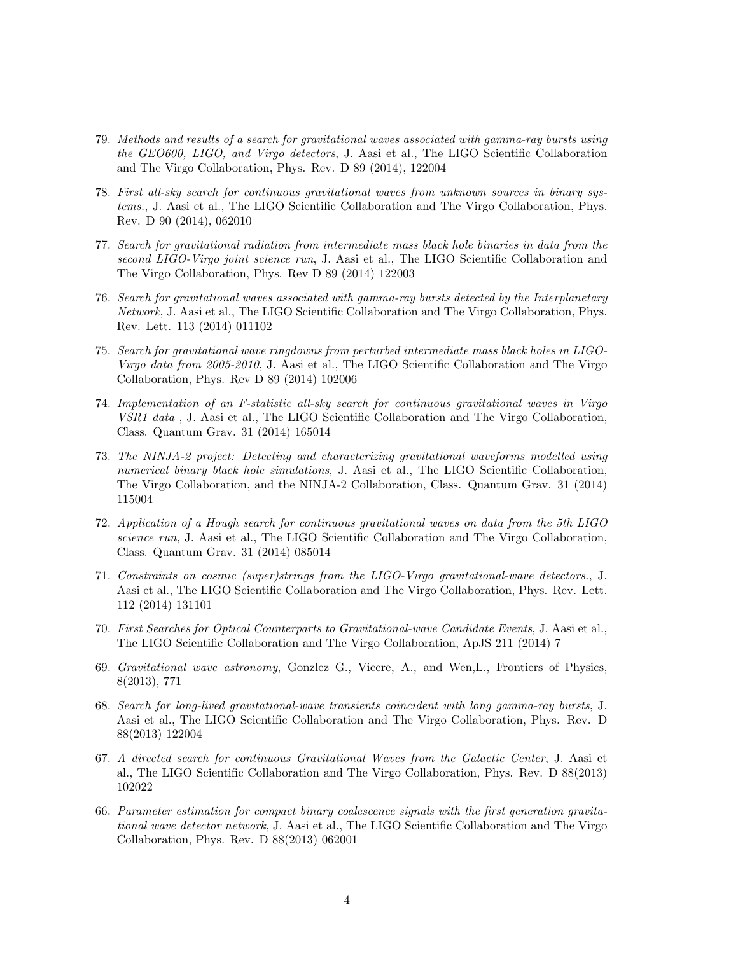- 79. Methods and results of a search for gravitational waves associated with gamma-ray bursts using the GEO600, LIGO, and Virgo detectors, J. Aasi et al., The LIGO Scientific Collaboration and The Virgo Collaboration, Phys. Rev. D 89 (2014), 122004
- 78. First all-sky search for continuous gravitational waves from unknown sources in binary systems., J. Aasi et al., The LIGO Scientific Collaboration and The Virgo Collaboration, Phys. Rev. D 90 (2014), 062010
- 77. Search for gravitational radiation from intermediate mass black hole binaries in data from the second LIGO-Virgo joint science run, J. Aasi et al., The LIGO Scientific Collaboration and The Virgo Collaboration, Phys. Rev D 89 (2014) 122003
- 76. Search for gravitational waves associated with gamma-ray bursts detected by the Interplanetary Network, J. Aasi et al., The LIGO Scientific Collaboration and The Virgo Collaboration, Phys. Rev. Lett. 113 (2014) 011102
- 75. Search for gravitational wave ringdowns from perturbed intermediate mass black holes in LIGO-Virgo data from 2005-2010, J. Aasi et al., The LIGO Scientific Collaboration and The Virgo Collaboration, Phys. Rev D 89 (2014) 102006
- 74. Implementation of an F-statistic all-sky search for continuous gravitational waves in Virgo VSR1 data , J. Aasi et al., The LIGO Scientific Collaboration and The Virgo Collaboration, Class. Quantum Grav. 31 (2014) 165014
- 73. The NINJA-2 project: Detecting and characterizing gravitational waveforms modelled using numerical binary black hole simulations, J. Aasi et al., The LIGO Scientific Collaboration, The Virgo Collaboration, and the NINJA-2 Collaboration, Class. Quantum Grav. 31 (2014) 115004
- 72. Application of a Hough search for continuous gravitational waves on data from the 5th LIGO science run, J. Aasi et al., The LIGO Scientific Collaboration and The Virgo Collaboration, Class. Quantum Grav. 31 (2014) 085014
- 71. Constraints on cosmic (super)strings from the LIGO-Virgo gravitational-wave detectors., J. Aasi et al., The LIGO Scientific Collaboration and The Virgo Collaboration, Phys. Rev. Lett. 112 (2014) 131101
- 70. First Searches for Optical Counterparts to Gravitational-wave Candidate Events, J. Aasi et al., The LIGO Scientific Collaboration and The Virgo Collaboration, ApJS 211 (2014) 7
- 69. Gravitational wave astronomy, Gonzlez G., Vicere, A., and Wen,L., Frontiers of Physics, 8(2013), 771
- 68. Search for long-lived gravitational-wave transients coincident with long gamma-ray bursts, J. Aasi et al., The LIGO Scientific Collaboration and The Virgo Collaboration, Phys. Rev. D 88(2013) 122004
- 67. A directed search for continuous Gravitational Waves from the Galactic Center, J. Aasi et al., The LIGO Scientific Collaboration and The Virgo Collaboration, Phys. Rev. D 88(2013) 102022
- 66. Parameter estimation for compact binary coalescence signals with the first generation gravitational wave detector network, J. Aasi et al., The LIGO Scientific Collaboration and The Virgo Collaboration, Phys. Rev. D 88(2013) 062001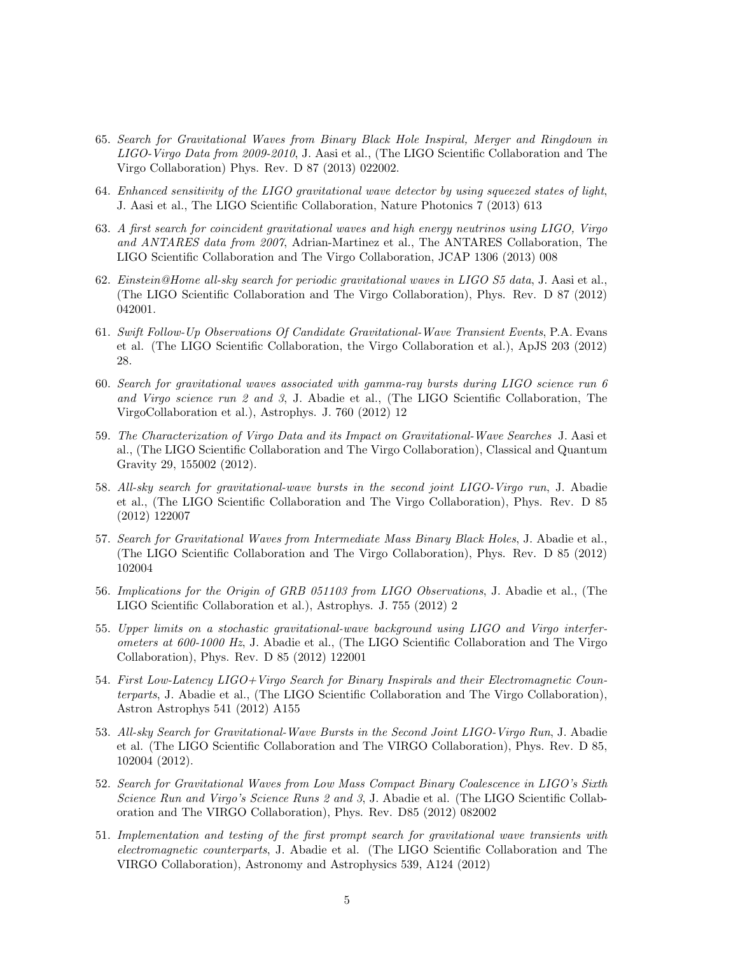- 65. Search for Gravitational Waves from Binary Black Hole Inspiral, Merger and Ringdown in LIGO-Virgo Data from 2009-2010, J. Aasi et al., (The LIGO Scientific Collaboration and The Virgo Collaboration) Phys. Rev. D 87 (2013) 022002.
- 64. Enhanced sensitivity of the LIGO gravitational wave detector by using squeezed states of light, J. Aasi et al., The LIGO Scientific Collaboration, Nature Photonics 7 (2013) 613
- 63. A first search for coincident gravitational waves and high energy neutrinos using LIGO, Virgo and ANTARES data from 2007, Adrian-Martinez et al., The ANTARES Collaboration, The LIGO Scientific Collaboration and The Virgo Collaboration, JCAP 1306 (2013) 008
- 62. Einstein@Home all-sky search for periodic gravitational waves in LIGO S5 data, J. Aasi et al., (The LIGO Scientific Collaboration and The Virgo Collaboration), Phys. Rev. D 87 (2012) 042001.
- 61. Swift Follow-Up Observations Of Candidate Gravitational-Wave Transient Events, P.A. Evans et al. (The LIGO Scientific Collaboration, the Virgo Collaboration et al.), ApJS 203 (2012) 28.
- 60. Search for gravitational waves associated with gamma-ray bursts during LIGO science run 6 and Virgo science run 2 and 3, J. Abadie et al., (The LIGO Scientific Collaboration, The VirgoCollaboration et al.), Astrophys. J. 760 (2012) 12
- 59. The Characterization of Virgo Data and its Impact on Gravitational-Wave Searches J. Aasi et al., (The LIGO Scientific Collaboration and The Virgo Collaboration), Classical and Quantum Gravity 29, 155002 (2012).
- 58. All-sky search for gravitational-wave bursts in the second joint LIGO-Virgo run, J. Abadie et al., (The LIGO Scientific Collaboration and The Virgo Collaboration), Phys. Rev. D 85 (2012) 122007
- 57. Search for Gravitational Waves from Intermediate Mass Binary Black Holes, J. Abadie et al., (The LIGO Scientific Collaboration and The Virgo Collaboration), Phys. Rev. D 85 (2012) 102004
- 56. Implications for the Origin of GRB 051103 from LIGO Observations, J. Abadie et al., (The LIGO Scientific Collaboration et al.), Astrophys. J. 755 (2012) 2
- 55. Upper limits on a stochastic gravitational-wave background using LIGO and Virgo interferometers at 600-1000 Hz, J. Abadie et al., (The LIGO Scientific Collaboration and The Virgo Collaboration), Phys. Rev. D 85 (2012) 122001
- 54. First Low-Latency LIGO+Virgo Search for Binary Inspirals and their Electromagnetic Counterparts, J. Abadie et al., (The LIGO Scientific Collaboration and The Virgo Collaboration), Astron Astrophys 541 (2012) A155
- 53. All-sky Search for Gravitational-Wave Bursts in the Second Joint LIGO-Virgo Run, J. Abadie et al. (The LIGO Scientific Collaboration and The VIRGO Collaboration), Phys. Rev. D 85, 102004 (2012).
- 52. Search for Gravitational Waves from Low Mass Compact Binary Coalescence in LIGO's Sixth Science Run and Virgo's Science Runs 2 and 3, J. Abadie et al. (The LIGO Scientific Collaboration and The VIRGO Collaboration), Phys. Rev. D85 (2012) 082002
- 51. Implementation and testing of the first prompt search for gravitational wave transients with electromagnetic counterparts, J. Abadie et al. (The LIGO Scientific Collaboration and The VIRGO Collaboration), Astronomy and Astrophysics 539, A124 (2012)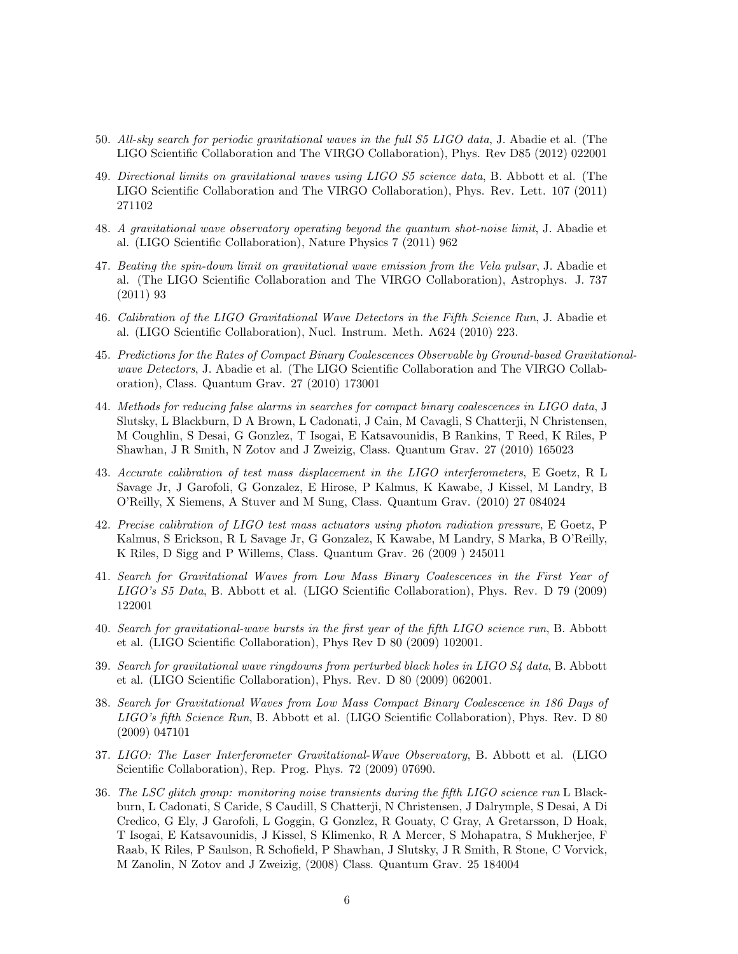- 50. All-sky search for periodic gravitational waves in the full S5 LIGO data, J. Abadie et al. (The LIGO Scientific Collaboration and The VIRGO Collaboration), Phys. Rev D85 (2012) 022001
- 49. Directional limits on gravitational waves using LIGO S5 science data, B. Abbott et al. (The LIGO Scientific Collaboration and The VIRGO Collaboration), Phys. Rev. Lett. 107 (2011) 271102
- 48. A gravitational wave observatory operating beyond the quantum shot-noise limit, J. Abadie et al. (LIGO Scientific Collaboration), Nature Physics 7 (2011) 962
- 47. Beating the spin-down limit on gravitational wave emission from the Vela pulsar, J. Abadie et al. (The LIGO Scientific Collaboration and The VIRGO Collaboration), Astrophys. J. 737 (2011) 93
- 46. Calibration of the LIGO Gravitational Wave Detectors in the Fifth Science Run, J. Abadie et al. (LIGO Scientific Collaboration), Nucl. Instrum. Meth. A624 (2010) 223.
- 45. Predictions for the Rates of Compact Binary Coalescences Observable by Ground-based Gravitationalwave Detectors, J. Abadie et al. (The LIGO Scientific Collaboration and The VIRGO Collaboration), Class. Quantum Grav. 27 (2010) 173001
- 44. Methods for reducing false alarms in searches for compact binary coalescences in LIGO data, J Slutsky, L Blackburn, D A Brown, L Cadonati, J Cain, M Cavagli, S Chatterji, N Christensen, M Coughlin, S Desai, G Gonzlez, T Isogai, E Katsavounidis, B Rankins, T Reed, K Riles, P Shawhan, J R Smith, N Zotov and J Zweizig, Class. Quantum Grav. 27 (2010) 165023
- 43. Accurate calibration of test mass displacement in the LIGO interferometers, E Goetz, R L Savage Jr, J Garofoli, G Gonzalez, E Hirose, P Kalmus, K Kawabe, J Kissel, M Landry, B O'Reilly, X Siemens, A Stuver and M Sung, Class. Quantum Grav. (2010) 27 084024
- 42. Precise calibration of LIGO test mass actuators using photon radiation pressure, E Goetz, P Kalmus, S Erickson, R L Savage Jr, G Gonzalez, K Kawabe, M Landry, S Marka, B O'Reilly, K Riles, D Sigg and P Willems, Class. Quantum Grav. 26 (2009 ) 245011
- 41. Search for Gravitational Waves from Low Mass Binary Coalescences in the First Year of LIGO's S5 Data, B. Abbott et al. (LIGO Scientific Collaboration), Phys. Rev. D 79 (2009) 122001
- 40. Search for gravitational-wave bursts in the first year of the fifth LIGO science run, B. Abbott et al. (LIGO Scientific Collaboration), Phys Rev D 80 (2009) 102001.
- 39. Search for gravitational wave ringdowns from perturbed black holes in LIGO S4 data, B. Abbott et al. (LIGO Scientific Collaboration), Phys. Rev. D 80 (2009) 062001.
- 38. Search for Gravitational Waves from Low Mass Compact Binary Coalescence in 186 Days of LIGO's fifth Science Run, B. Abbott et al. (LIGO Scientific Collaboration), Phys. Rev. D 80 (2009) 047101
- 37. LIGO: The Laser Interferometer Gravitational-Wave Observatory, B. Abbott et al. (LIGO Scientific Collaboration), Rep. Prog. Phys. 72 (2009) 07690.
- 36. The LSC glitch group: monitoring noise transients during the fifth LIGO science run L Blackburn, L Cadonati, S Caride, S Caudill, S Chatterji, N Christensen, J Dalrymple, S Desai, A Di Credico, G Ely, J Garofoli, L Goggin, G Gonzlez, R Gouaty, C Gray, A Gretarsson, D Hoak, T Isogai, E Katsavounidis, J Kissel, S Klimenko, R A Mercer, S Mohapatra, S Mukherjee, F Raab, K Riles, P Saulson, R Schofield, P Shawhan, J Slutsky, J R Smith, R Stone, C Vorvick, M Zanolin, N Zotov and J Zweizig, (2008) Class. Quantum Grav. 25 184004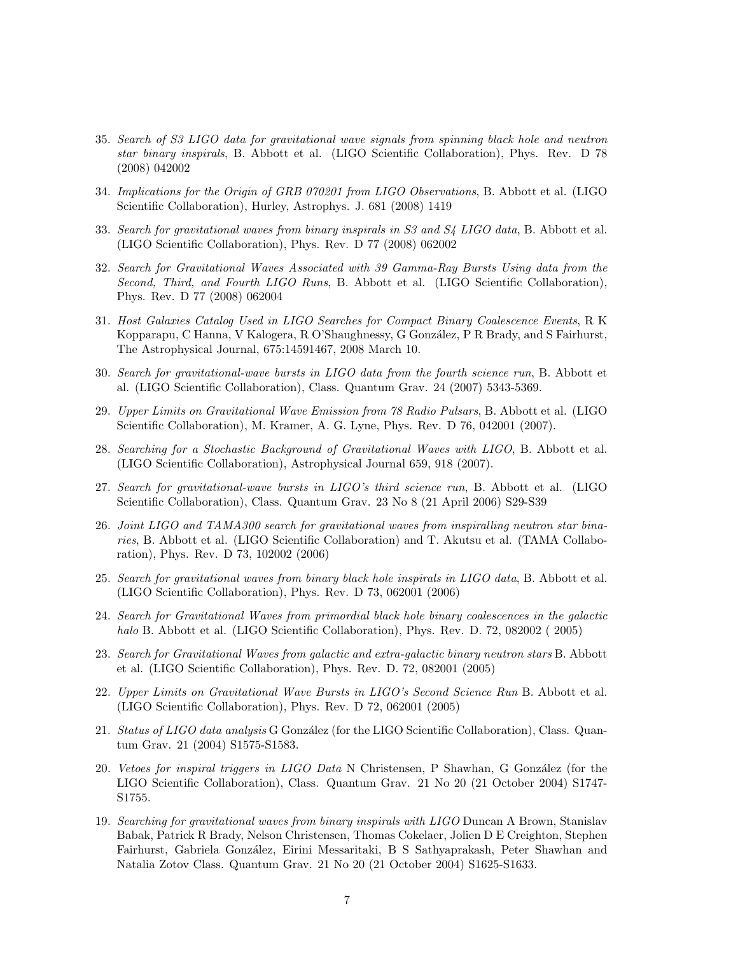- 35. Search of S3 LIGO data for gravitational wave signals from spinning black hole and neutron star binary inspirals, B. Abbott et al. (LIGO Scientific Collaboration), Phys. Rev. D 78 (2008) 042002
- 34. Implications for the Origin of GRB 070201 from LIGO Observations, B. Abbott et al. (LIGO Scientific Collaboration), Hurley, Astrophys. J. 681 (2008) 1419
- 33. Search for gravitational waves from binary inspirals in S3 and S4 LIGO data, B. Abbott et al. (LIGO Scientific Collaboration), Phys. Rev. D 77 (2008) 062002
- 32. Search for Gravitational Waves Associated with 39 Gamma-Ray Bursts Using data from the Second, Third, and Fourth LIGO Runs, B. Abbott et al. (LIGO Scientific Collaboration), Phys. Rev. D 77 (2008) 062004
- 31. Host Galaxies Catalog Used in LIGO Searches for Compact Binary Coalescence Events, R K Kopparapu, C Hanna, V Kalogera, R O'Shaughnessy, G González, P R Brady, and S Fairhurst, The Astrophysical Journal, 675:14591467, 2008 March 10.
- 30. Search for gravitational-wave bursts in LIGO data from the fourth science run, B. Abbott et al. (LIGO Scientific Collaboration), Class. Quantum Grav. 24 (2007) 5343-5369.
- 29. Upper Limits on Gravitational Wave Emission from 78 Radio Pulsars, B. Abbott et al. (LIGO Scientific Collaboration), M. Kramer, A. G. Lyne, Phys. Rev. D 76, 042001 (2007).
- 28. Searching for a Stochastic Background of Gravitational Waves with LIGO, B. Abbott et al. (LIGO Scientific Collaboration), Astrophysical Journal 659, 918 (2007).
- 27. Search for gravitational-wave bursts in LIGO's third science run, B. Abbott et al. (LIGO Scientific Collaboration), Class. Quantum Grav. 23 No 8 (21 April 2006) S29-S39
- 26. Joint LIGO and TAMA300 search for gravitational waves from inspiralling neutron star binaries, B. Abbott et al. (LIGO Scientific Collaboration) and T. Akutsu et al. (TAMA Collaboration), Phys. Rev. D 73, 102002 (2006)
- 25. Search for gravitational waves from binary black hole inspirals in LIGO data, B. Abbott et al. (LIGO Scientific Collaboration), Phys. Rev. D 73, 062001 (2006)
- 24. Search for Gravitational Waves from primordial black hole binary coalescences in the galactic halo B. Abbott et al. (LIGO Scientific Collaboration), Phys. Rev. D. 72, 082002 (2005)
- 23. Search for Gravitational Waves from galactic and extra-galactic binary neutron stars B. Abbott et al. (LIGO Scientific Collaboration), Phys. Rev. D. 72, 082001 (2005)
- 22. Upper Limits on Gravitational Wave Bursts in LIGO's Second Science Run B. Abbott et al. (LIGO Scientific Collaboration), Phys. Rev. D 72, 062001 (2005)
- 21. Status of LIGO data analysis G González (for the LIGO Scientific Collaboration), Class. Quantum Grav. 21 (2004) S1575-S1583.
- 20. Vetoes for inspiral triggers in LIGO Data N Christensen, P Shawhan, G González (for the LIGO Scientific Collaboration), Class. Quantum Grav. 21 No 20 (21 October 2004) S1747- S1755.
- 19. Searching for gravitational waves from binary inspirals with LIGO Duncan A Brown, Stanislav Babak, Patrick R Brady, Nelson Christensen, Thomas Cokelaer, Jolien D E Creighton, Stephen Fairhurst, Gabriela González, Eirini Messaritaki, B S Sathyaprakash, Peter Shawhan and Natalia Zotov Class. Quantum Grav. 21 No 20 (21 October 2004) S1625-S1633.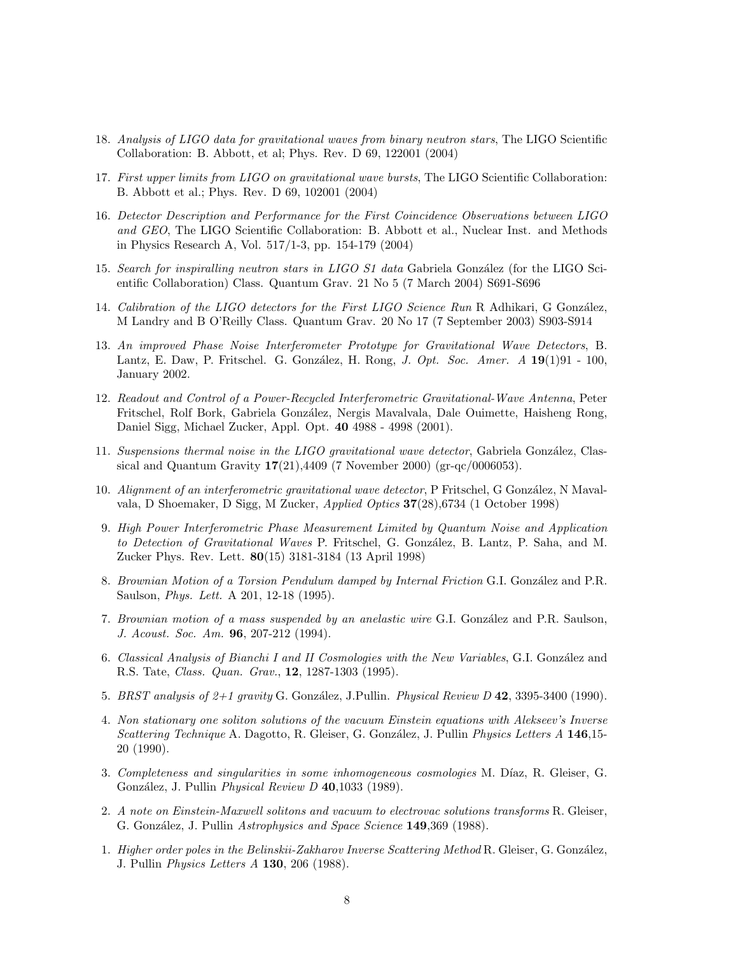- 18. Analysis of LIGO data for gravitational waves from binary neutron stars, The LIGO Scientific Collaboration: B. Abbott, et al; Phys. Rev. D 69, 122001 (2004)
- 17. First upper limits from LIGO on gravitational wave bursts, The LIGO Scientific Collaboration: B. Abbott et al.; Phys. Rev. D 69, 102001 (2004)
- 16. Detector Description and Performance for the First Coincidence Observations between LIGO and GEO, The LIGO Scientific Collaboration: B. Abbott et al., Nuclear Inst. and Methods in Physics Research A, Vol. 517/1-3, pp. 154-179 (2004)
- 15. Search for inspiralling neutron stars in LIGO S1 data Gabriela González (for the LIGO Scientific Collaboration) Class. Quantum Grav. 21 No 5 (7 March 2004) S691-S696
- 14. Calibration of the LIGO detectors for the First LIGO Science Run R Adhikari, G González, M Landry and B O'Reilly Class. Quantum Grav. 20 No 17 (7 September 2003) S903-S914
- 13. An improved Phase Noise Interferometer Prototype for Gravitational Wave Detectors, B. Lantz, E. Daw, P. Fritschel. G. González, H. Rong, *J. Opt. Soc. Amer. A* 19(1)91 - 100, January 2002.
- 12. Readout and Control of a Power-Recycled Interferometric Gravitational-Wave Antenna, Peter Fritschel, Rolf Bork, Gabriela Gonz´alez, Nergis Mavalvala, Dale Ouimette, Haisheng Rong, Daniel Sigg, Michael Zucker, Appl. Opt. 40 4988 - 4998 (2001).
- 11. Suspensions thermal noise in the LIGO gravitational wave detector, Gabriela González, Classical and Quantum Gravity  $17(21)$ ,4409 (7 November 2000) (gr-qc/0006053).
- 10. Alignment of an interferometric gravitational wave detector, P Fritschel, G González, N Mavalvala, D Shoemaker, D Sigg, M Zucker, Applied Optics 37(28),6734 (1 October 1998)
- 9. High Power Interferometric Phase Measurement Limited by Quantum Noise and Application to Detection of Gravitational Waves P. Fritschel, G. González, B. Lantz, P. Saha, and M. Zucker Phys. Rev. Lett. 80(15) 3181-3184 (13 April 1998)
- 8. Brownian Motion of a Torsion Pendulum damped by Internal Friction G.I. González and P.R. Saulson, Phys. Lett. A 201, 12-18 (1995).
- 7. Brownian motion of a mass suspended by an anelastic wire G.I. González and P.R. Saulson, J. Acoust. Soc. Am. 96, 207-212 (1994).
- 6. Classical Analysis of Bianchi I and II Cosmologies with the New Variables, G.I. González and R.S. Tate, Class. Quan. Grav., 12, 1287-1303 (1995).
- 5. BRST analysis of  $2+1$  gravity G. González, J.Pullin. Physical Review D 42, 3395-3400 (1990).
- 4. Non stationary one soliton solutions of the vacuum Einstein equations with Alekseev's Inverse Scattering Technique A. Dagotto, R. Gleiser, G. González, J. Pullin Physics Letters A 146,15-20 (1990).
- 3. Completeness and singularities in some inhomogeneous cosmologies M. Díaz, R. Gleiser, G. González, J. Pullin *Physical Review D* 40,1033 (1989).
- 2. A note on Einstein-Maxwell solitons and vacuum to electrovac solutions transforms R. Gleiser, G. González, J. Pullin Astrophysics and Space Science 149,369 (1988).
- 1. Higher order poles in the Belinskii-Zakharov Inverse Scattering Method R. Gleiser, G. González, J. Pullin Physics Letters A 130, 206 (1988).